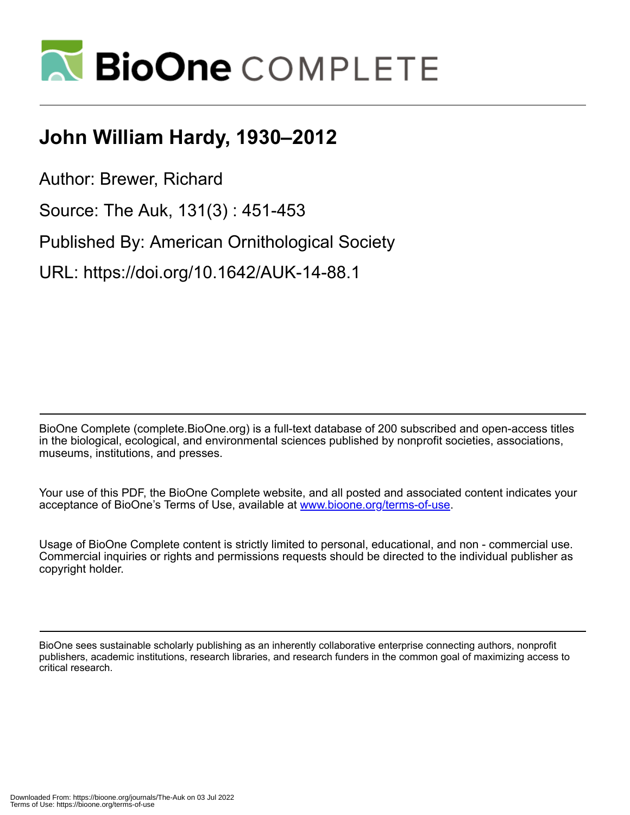

## **John William Hardy, 1930–2012**

Author: Brewer, Richard

Source: The Auk, 131(3) : 451-453

Published By: American Ornithological Society

URL: https://doi.org/10.1642/AUK-14-88.1

BioOne Complete (complete.BioOne.org) is a full-text database of 200 subscribed and open-access titles in the biological, ecological, and environmental sciences published by nonprofit societies, associations, museums, institutions, and presses.

Your use of this PDF, the BioOne Complete website, and all posted and associated content indicates your acceptance of BioOne's Terms of Use, available at www.bioone.org/terms-of-use.

Usage of BioOne Complete content is strictly limited to personal, educational, and non - commercial use. Commercial inquiries or rights and permissions requests should be directed to the individual publisher as copyright holder.

BioOne sees sustainable scholarly publishing as an inherently collaborative enterprise connecting authors, nonprofit publishers, academic institutions, research libraries, and research funders in the common goal of maximizing access to critical research.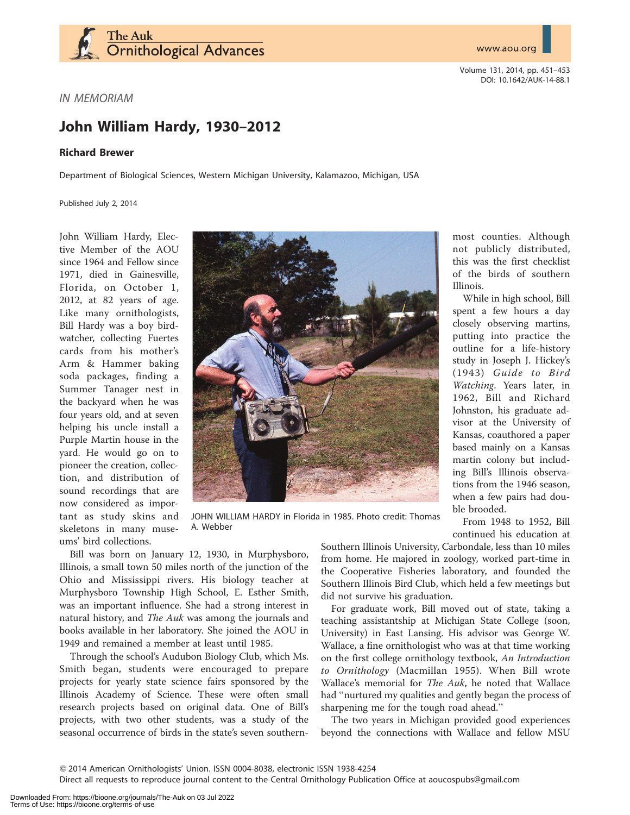

Volume 131, 2014, pp. 451–453 DOI: 10.1642/AUK-14-88.1

this was the first checklist

While in high school, Bill

closely observing martins,

study in Joseph J. Hickey's (1943) Guide to Bird Watching. Years later, in 1962, Bill and Richard

Kansas, coauthored a paper

tions from the 1946 season,

From 1948 to 1952, Bill continued his education at

ble brooded.

## IN MEMORIAM

## John William Hardy, 1930–2012

## Richard Brewer

Department of Biological Sciences, Western Michigan University, Kalamazoo, Michigan, USA

Published July 2, 2014

John William Hardy, Elective Member of the AOU since 1964 and Fellow since 1971, died in Gainesville, Florida, on October 1, 2012, at 82 years of age. Like many ornithologists, Bill Hardy was a boy birdwatcher, collecting Fuertes cards from his mother's Arm & Hammer baking soda packages, finding a Summer Tanager nest in the backyard when he was four years old, and at seven helping his uncle install a Purple Martin house in the yard. He would go on to pioneer the creation, collection, and distribution of sound recordings that are now considered as important as study skins and skeletons in many museums' bird collections.



JOHN WILLIAM HARDY in Florida in 1985. Photo credit: Thomas A. Webber

Bill was born on January 12, 1930, in Murphysboro, Illinois, a small town 50 miles north of the junction of the Ohio and Mississippi rivers. His biology teacher at Murphysboro Township High School, E. Esther Smith, was an important influence. She had a strong interest in natural history, and The Auk was among the journals and books available in her laboratory. She joined the AOU in 1949 and remained a member at least until 1985.

Through the school's Audubon Biology Club, which Ms. Smith began, students were encouraged to prepare projects for yearly state science fairs sponsored by the Illinois Academy of Science. These were often small research projects based on original data. One of Bill's projects, with two other students, was a study of the seasonal occurrence of birds in the state's seven southern-

Southern Illinois University, Carbondale, less than 10 miles from home. He majored in zoology, worked part-time in the Cooperative Fisheries laboratory, and founded the Southern Illinois Bird Club, which held a few meetings but did not survive his graduation.

For graduate work, Bill moved out of state, taking a teaching assistantship at Michigan State College (soon, University) in East Lansing. His advisor was George W. Wallace, a fine ornithologist who was at that time working on the first college ornithology textbook, An Introduction to Ornithology (Macmillan 1955). When Bill wrote Wallace's memorial for The Auk, he noted that Wallace had ''nurtured my qualities and gently began the process of sharpening me for the tough road ahead.''

The two years in Michigan provided good experiences beyond the connections with Wallace and fellow MSU

- Q 2014 American Ornithologists' Union. ISSN 0004-8038, electronic ISSN 1938-4254
- Direct all requests to reproduce journal content to the Central Ornithology Publication Office at aoucospubs@gmail.com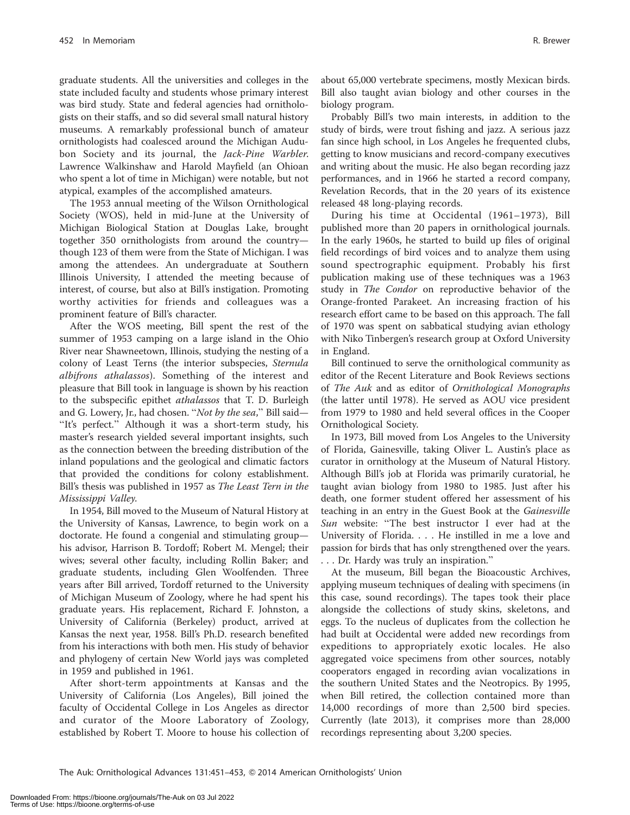graduate students. All the universities and colleges in the state included faculty and students whose primary interest was bird study. State and federal agencies had ornithologists on their staffs, and so did several small natural history museums. A remarkably professional bunch of amateur ornithologists had coalesced around the Michigan Audubon Society and its journal, the Jack-Pine Warbler. Lawrence Walkinshaw and Harold Mayfield (an Ohioan who spent a lot of time in Michigan) were notable, but not atypical, examples of the accomplished amateurs.

The 1953 annual meeting of the Wilson Ornithological Society (WOS), held in mid-June at the University of Michigan Biological Station at Douglas Lake, brought together 350 ornithologists from around the country though 123 of them were from the State of Michigan. I was among the attendees. An undergraduate at Southern Illinois University, I attended the meeting because of interest, of course, but also at Bill's instigation. Promoting worthy activities for friends and colleagues was a prominent feature of Bill's character.

After the WOS meeting, Bill spent the rest of the summer of 1953 camping on a large island in the Ohio River near Shawneetown, Illinois, studying the nesting of a colony of Least Terns (the interior subspecies, Sternula albifrons athalassos). Something of the interest and pleasure that Bill took in language is shown by his reaction to the subspecific epithet athalassos that T. D. Burleigh and G. Lowery, Jr., had chosen. "Not by the sea," Bill said-"It's perfect." Although it was a short-term study, his master's research yielded several important insights, such as the connection between the breeding distribution of the inland populations and the geological and climatic factors that provided the conditions for colony establishment. Bill's thesis was published in 1957 as The Least Tern in the Mississippi Valley.

In 1954, Bill moved to the Museum of Natural History at the University of Kansas, Lawrence, to begin work on a doctorate. He found a congenial and stimulating group his advisor, Harrison B. Tordoff; Robert M. Mengel; their wives; several other faculty, including Rollin Baker; and graduate students, including Glen Woolfenden. Three years after Bill arrived, Tordoff returned to the University of Michigan Museum of Zoology, where he had spent his graduate years. His replacement, Richard F. Johnston, a University of California (Berkeley) product, arrived at Kansas the next year, 1958. Bill's Ph.D. research benefited from his interactions with both men. His study of behavior and phylogeny of certain New World jays was completed in 1959 and published in 1961.

After short-term appointments at Kansas and the University of California (Los Angeles), Bill joined the faculty of Occidental College in Los Angeles as director and curator of the Moore Laboratory of Zoology, established by Robert T. Moore to house his collection of about 65,000 vertebrate specimens, mostly Mexican birds. Bill also taught avian biology and other courses in the biology program.

Probably Bill's two main interests, in addition to the study of birds, were trout fishing and jazz. A serious jazz fan since high school, in Los Angeles he frequented clubs, getting to know musicians and record-company executives and writing about the music. He also began recording jazz performances, and in 1966 he started a record company, Revelation Records, that in the 20 years of its existence released 48 long-playing records.

During his time at Occidental (1961–1973), Bill published more than 20 papers in ornithological journals. In the early 1960s, he started to build up files of original field recordings of bird voices and to analyze them using sound spectrographic equipment. Probably his first publication making use of these techniques was a 1963 study in The Condor on reproductive behavior of the Orange-fronted Parakeet. An increasing fraction of his research effort came to be based on this approach. The fall of 1970 was spent on sabbatical studying avian ethology with Niko Tinbergen's research group at Oxford University in England.

Bill continued to serve the ornithological community as editor of the Recent Literature and Book Reviews sections of The Auk and as editor of Ornithological Monographs (the latter until 1978). He served as AOU vice president from 1979 to 1980 and held several offices in the Cooper Ornithological Society.

In 1973, Bill moved from Los Angeles to the University of Florida, Gainesville, taking Oliver L. Austin's place as curator in ornithology at the Museum of Natural History. Although Bill's job at Florida was primarily curatorial, he taught avian biology from 1980 to 1985. Just after his death, one former student offered her assessment of his teaching in an entry in the Guest Book at the Gainesville Sun website: "The best instructor I ever had at the University of Florida. . . . He instilled in me a love and passion for birds that has only strengthened over the years. . . . Dr. Hardy was truly an inspiration.''

At the museum, Bill began the Bioacoustic Archives, applying museum techniques of dealing with specimens (in this case, sound recordings). The tapes took their place alongside the collections of study skins, skeletons, and eggs. To the nucleus of duplicates from the collection he had built at Occidental were added new recordings from expeditions to appropriately exotic locales. He also aggregated voice specimens from other sources, notably cooperators engaged in recording avian vocalizations in the southern United States and the Neotropics. By 1995, when Bill retired, the collection contained more than 14,000 recordings of more than 2,500 bird species. Currently (late 2013), it comprises more than 28,000 recordings representing about 3,200 species.